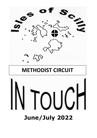

# **June/July 2022**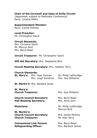## **Chair of the Cornwall and Isles of Scilly Circuit:**

(Appointed, subject to Methodist Conference) Revd. Loraine Mellor

**Superintendent Minister:** Revd. Carole Holmes

**Local Preacher:** Mr. Christopher Savill

## **Circuit Stewards:**

Mrs. Christine Savill Mr. Mervyn Bird Mrs. Beryl Read

**Circuit Treasurer:** Mr. Christopher Savill

**Gift Aid Secretary:** Mrs. Stephanie Bird

## **Circuit Meeting Secretary:** Mrs. Heather Terry

#### **Church Stewards:**

| <b>St. Mary's:</b> Mrs. Jean Duncan | Mr. Philip Lethbridge |
|-------------------------------------|-----------------------|
| Mrs. Leigh Kendrick                 | Mrs. Sue Williams     |

**St. Martin's:** Mrs. Barbara Jones

**St. Mary's: Church Treasurer:** Mrs. Sue Williams

**Church Council Secretary:** Mrs. Beryl Read **Hall Booking Secretary:** Mrs. Anne Gurr

**St. Martin's: Church Council Secretary:** Mrs. Jackie Perkins **Church Treasurer:** Mr. Alan Terry

**Connexional Link Person:** Mrs. Beryl Read **Safeguarding Officer:** Mrs. Barbara James

**Musicians:** Mr. Philip Lethbridge Mervyn Bird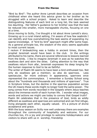"Bird by Bird": The author Anne Lamott describes an occasion from childhood when she heard this advice given to her brother as he struggled with a school project. Asked to learn and describe the distinguishing features of each bird on a long list, the task seemed too daunting. Her father's guidance to her brother was that the task be reduced into smaller, more manageable chunks, focusing on one at a time.

Since moving to Scilly, I've thought a lot about Anne Lamott's story. Growing up in a rural inland setting, I'm aware of how few seabirds I can identify and how overwhelming the task seems of expanding my sparse knowledge. A "bird by bird" approach might offer some hope. As a general principle too, the wisdom of the story seems applicable to most current issues.

I reckon if birdwatching was a hobby in ancient times, then the prophet Jeremiah would have been in the club. In the writings attributed to his name, there are several references to lessons learned from the birds. I like to imagine Jeremiah in awe as he watches the swallows dart and skim the skies. Calling attention to the way that swallows return from afar, Jeremiah expresses his deep longing for the human response to God to be as faithful.

The writer of Psalm 84 seems to have been a bird enthusiast too. Not only do swallows get a mention; so also do sparrows. Less spectacular, far more ordinary in appearance, sparrows once represented the commonplace. I remember a Sunday School song about the "hundreds and thousands and millions of sparrows". True in Scripture times, but the decline in the sparrow population across the UK means these words might no longer hold the same power. The song comes from words recorded in the Gospels where Jesus teaches about the immense worth of each human life. I wonder what images, words and actions we might use today to convey that Gospel truth?

Psalm 84 celebrates that in the presence of God, birds as wildly different as swallows and sparrows are welcomed and can find refuge, living alongside each other, equally valued. It's a picture of divine acceptance and grace.

With the busy season on Scilly now well underway there are examples throughout the community of hospitality and welcome. For our churches too, it's a joy and privilege to welcome holidaymakers and visitors to share with us in worship, friendship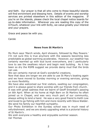and faith. Our prayer is that all who come to these beautiful islands will find enrichment and blessing here. Details of events and worship services are printed elsewhere in this edition of the magazine. If you're on the islands, please check the local chapel notice boards for up-to-date information. Wherever you are reading this copy of the InTouch, whatever your link with Scilly, we value greatly your interest and your prayers.

Grace and peace be with you.

Carole

# **News from St Martin's**

My Mum says 'March winds, April showers, followed by May flowers.' I'm not sure this is true anymore with the seasons becoming less predictable as global warming accelerates. However, our weather has certainly warmed up with bud burst everywhere, and I particularly love to see the swallows return and begin nest building. As it has been so dry the RSPB suggest we provide damp mud that the birds can use.

We can certainly marvel at God's wonderful creations.

Now that days are longer we are able to use St Mary's boating again and we have moved to Sunday morning or evening services, giving us more flexibility.

We have also welcomed our first visitors, swelling our congregation, and it is always good to share worship with our friends from church.

It was with great sadness that we learnt of Geoff Snowball's passing on 6th April. When at his home at High Barn on St Martins he often joined us in Chapel, and was very much part of our community, always willing to lend a hand. He was a very good friend to Keith Low and loved to go fishing with him and more recently with Steve Walder. We send his family our heartfelt sympathy.

Our Photo Exhibition in the Sunday school was in much need of refurbishment. and we are slowly upgrading what is a pictorial history of St Martin's .

We wish everyone a healthy and enjoyable summer season. *Val Thomas*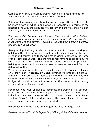Completion of regular Safeguarding Training is a requirement for anyone who holds office in the Methodist Church.

Safeguarding training aims to guide us in best practice and help us to be more aware of what is and what isn't acceptable in terms of the language we use, the attitudes we convey and the way that we plan and carry out all Methodist Church activities.

*The Methodist Church has directed that specific office holders (safeguarding officers, ministers, preachers and leaders of worship) must complete the current version of Safeguarding training before the end of August 2022*.

Safeguarding training is also a requirement for those working or helping with children and vulnerable adults, as well as for stewards (Circuit and church) and those who make visits to others in the name of the Methodist Church. The training is recommended too for anyone who might find themselves working alone on Church premises, helping us understand how we can keep ourselves protected from the risk of allegation

We've arranged for all the necessary training to be presented locally on St Mary's on **Thursday 9th June**. Timings will probably be 10.30- 2.30ish. Dave Cross, the District Safeguarding Officer will lead this session, together with his colleague Bridget Down. Having Dave and Bridget with us will allow us to ensure that the content of the training is tailored to our local contexts.

For those who wish or need to complete the training in a different way, there is an online e-learning option. This can be done at an individual pace and involves about 6 hours online plus a Zoom session. If you're interested in training this way, please let us know so we can let you know how to get started.

Please ask one of us if you've any queries about Safeguarding.

*Barbara James (Circuit Safeguarding Officer) & Revd Carole Holmes*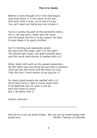# **The U in JesUs**

Before U were thought of or time had begun, God even stuck U in the name of His Son. And each time U pray, you'll see it's true You can't spell out JesUs and not include U

You're a pretty big part of His wonderful name, For U, He was born; that's why He came. And His great love for U is the reason He died. It even takes U to spell crUcified.

Isn't it thrilling and splendidly grand He rose from the dead, with U in His plan? The stones split away, the gold trUmpet blew, and this word resUrrection is spelled with a U.

When JesUs left earth at His upward ascension, He felt there was one thing He just had to mention. "Now go into the world and tell them it's true That the love I have shown is not just for U."

So many great people are spelled with a U, Don't they have a right to know JesUs too? It all depends now on what U will do, He'd like them to know, But it all starts with U.

*Author unknown*

~~~~~~~~~~~~~~~~~~~~~~~~~~~~~~~~~~

*Not all of us can do great things. But we can do small things with great love. Mother Theresa of Calcutta*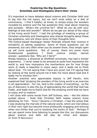## **Exploring the Big Questions Scientists and theologians share their views**

It's important to have debates about science and Christian faith and to dig into the hot topics, but we can't exist solely on a diet of controversy. I find it helpful, at times, to simply enjoy the wonders revealed by science and the big questions they raise about meaning and purpose. What's the universe for? What do you do with your feelings of awe and wonder? Where do we get our sense of the value of the living world from? I had the privilege of meeting a group of Christian scientists and theologians who shared thoughts about these big questions, and will share some of their thoughts here.

The Oxford-based theologian Alister McGrath shared that 'science is wonderful at asking questions. Some of those questions can be answered, but very often when you do answer them, they simply open up yet more questions. But of course, there are some more fundamental questions I think science simply cannot answer…questions like, 'Why am I here?''

Rhoda Hawkins, a physicist at Sheffield University, has had a similar experience. 'I never cease to be amazed at quite how impressive the world is, and how impressive the mechanisms are for how things work…It really is beautiful in many ways, and it leads me to think about God. I'm not saying that I have any proof, but I'm saying that by looking at the world around me it tells me more about God and it leads me to worship Him.'

Another scientist who appreciates beauty is Jeff Hardin, who explained that 'studying the wonders of the living world is an exercise in art appreciation. For me, God is the creator of everything… so the joy of discovery is also the joy of appreciating the world that God has made…and leads me to thank God for the amazing world that we have to enjoy and to explore.'

I will close with some words from Jeff Schloss, who – like the others quoted above – finds that Christian faith makes science more satisfying for him. 'Once I became a Christian…I had the sense that I was studying the marvels of the natural world, which are marvellous in their own right but become more profoundly engaging and enticing when one thinks that you're studying the works of God.' Perhaps if we can spend more time listening to people like this, our discussions about science and faith will also be richer and deeper. *Dr Ruth M Bancewicz*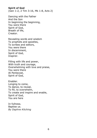# **Spirit of God**

(Gen 1:2, 2 Tim 3:16, Mk 1:8, Acts 2)

Dancing with the Father And the Son In beginning the beginning, You were there Spirit of God, Breath of life, Creator.

Revealing words and wisdom To prophets and apostles, To scribes and editors, You were there In discernment, Spirit of God, Inspirer.

Filling with life and power, With truth and courage, Overwhelming with love and praise, You were there At Pentecost, Spirit of God,

Enabler. Longing to come, To dance, to reveal, To fill, to overwhelm, To create and inspire and enable, Spirit of God, You are here

In fullness. Baptise us. *By Daphne Kitching*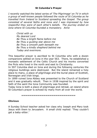*I recently watched the latest series of 'The Pilgrimage' on TV in which a group of well-known people followed the route of St Columba as he travelled from Ireland to Scotland spreading the Gospel. The group consisted of several faiths and none and I was impressed by how respectful they were of each other's beliefs. The journey ended on Iona where St Columba founded a monastery. Anne*

> *Christ with us My dearest Lord Be Thou a bright flame before me Be Thou a guiding star above me Be Thou a smooth path beneath me Be Thou a kindly shepherd behind me Today and evermore.*

This beautiful prayer is ascribed to St Columba who with a dozen companions settled on Iona in the year 563. There, he established a monastic settlement of the Celtic Church and his monks converted the Picts who lived in the north and east to Christianity.

In 597 Columba died on Iona and during the following centuries the religious buildings were destroyed. But the island remained a holy place to many, a place of pilgrimage and the burial place of Scottish, Norwegian and Irish kings.

In 1899 ruined Iona Abbey was presented to the Church of Scotland and it was gradually rebuilt. Then in 1938 inspired by the spirit and faith of the saint the Iona Community was founded.

Today Iona is both a place of pilgrimage and retreat, an island where St Columba's prayer is echoed by many from all over the world.

#### **~~~~~~~~~~~~~~~~~~~~~~~~~~~**

## **Obvious**

A Sunday School teacher asked her class why Joseph and Mary took Jesus with them to Jerusalem. A small child replied: 'They couldn't get a baby-sitter.'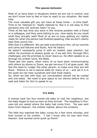Most of us have been in situations where we are not in control, and we don't know how to feel or how to react to our situation. We need help.

The most valuable gift you can have at those times – is time itself. Time to be 'listened to'. Really listened to. But it is not easy to find someone who will 'actively listen' to you.

Think of the last time you were in the reverse position with a friend or a colleague, and they were talking to you. How easily do you recall what they actually said? Most of us are so busy getting our replies ready for when the person has finished speaking, that we don't clearly hear their punch line.

With God it is different. We can take everything to Him; all our worries and cares and failures and faults. And He listens.

He doesn't necessarily jump in with an instant, easy solution, but rather He promises to always guide us, if we ask Him, through life's challenges, and He promises to never leave us. He often speaks to us through his written word, the Bible.

These last two years, when many of us have been communicating with others by phone or Zoom, we get nervous if it all goes quiet. We feel the need to 'nudge' the other person, to make sure they are still there. Silence is not a natural state for many of us – and yet it is in the quiet we can hear ourselves and God most clearly.

So, when we talk with God, our conversation should not be rushed and one-sided. We need to give space to our silence before Him, to wait and listen for Him to speak to us.

~~~~~~~~~~~~~~~~~~~~~~~~~~~

## **Cry baby**

A woman took her four-month-old baby to visit her neighbour, but the baby began to fuss as soon as they arrived. The neighbour's fiveyear-old son asked where the baby had come from. 'He was sent down from Heaven', the mother replied, above the screams.

The little boy watched the baby crying for a few more minutes, and then turned to his mother. 'I bet I know why he was sent from Heaven. God wanted some quiet up there!'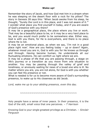Remember the story of Jacob, and how God met him in a dream when he was sleeping on the desert floor with a rock for his pillow? The story in Genesis 28 says this: 'When Jacob awoke from his sleep, he thought, "Surely the Lord is in this place, and I was not aware of it."' I wonder what place you find yourself in today, and if you are aware of God's presence with you there?

It may be a geographical place, the place where you live or work. That may be a beautiful place to be, or it may be a very hard place to be, and you would much prefer to be somewhere else. Either way, God is with you there, for He is everywhere, and there is no place where He is not.

It may be an emotional place, as when we say, 'I'm not in a good place right now'. How are you feeling today – up or down? Again, whatever mood you are in, God is with you for He knows us through and through. Having become human, He understands all our fluctuating emotions. He can comfort us right where we are.

It may be a phase of life that you are passing through, a stage on life's journey or a transition as you move from one situation to another. You may be passing through the valley of grief and loneliness, or anxiously waiting for news of a loved one who is ill. No matter where you are, you are not alone, for God is with you whether you can feel His presence or not.

What is needed is for us to become more aware of God's surrounding presence, to wake up to His closeness as did Jacob.

*Lord, wake me up to your abiding presence, even this day.*

~~~~~~~~~~~~~~~~~~~~~~~~~~~~~~

Holy people have a sense of inner peace. In their presence, it is the God of the still, small voice that one perceives. – *T Harrison*

Knowing God is your single greatest privilege as a Christian. – *Sinclair Ferguson*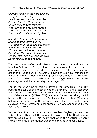*Glorious things of thee are spoken, Zion, city of our God; He whose word cannot be broken Formed thee for His own abode. On the rock of ages founded, What can shake thy sure repose? With salvation's walls surrounded, Thou may'st smile at all thy foes.*

*See, the streams of living waters, Springing from eternal love, Well supply thy sons and daughters, And all fear of want remove. Who can faint while such a river Ever flows their thirst to assuage: Grace, which like the Lord the giver, Never fails from age to age?*

The year was 1800, and Vienna was under bombardment by Napoleon's troops. The great Austrian composer, Haydn, then old and frail, asked to be carried to his piano. There he made his own defiance of Napoleon, by solemnly playing through his composition 'Emperor's Hymn'. Haydn had composed it for the Austrian Emperor, Franz ll's birthday on 12 February 1797. Haydn never touched his piano again, and died a few days later, aged 77.

That is where the tune for this well-loved hymn came from. It quickly became the tune of the Austrian national anthem. It was later even adopted by the Germans, as the tune for August Heinrich Hoffman von Fallersleben's (1798–1874) anthem Deutschlandslied, which began with the famous words: 'Deutschland uber alles' (Germany before everything). In the ensuing political upheavals, the tune survived in the German national anthem, but was abandoned by the Austrians in 1946.

In the meantime, the tune had also reached England, as early as 1805. It was then that the words of a hymn by John Newton were first paired up with it. This meant that when the Austrian Emperor Franz visited his grandmother Queen Victoria, at Windsor Castle,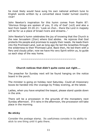he most likely would have sung his own national anthem tune to English words written by a converted slave trader turned country vicar!

John Newton's inspiration for this hymn comes from Psalm 87: 'Glorious things are spoken of you, O city of God' (vs3) and also a text from Isaiah 33:20-21: 'Look on Zion… there the Lord in majesty will be for us a place of broad rivers and streams…'

John Newton's hymn celebrates the joy of knowing that the Church is the new Jerusalem (Zion) where God abides. He rejoices that God protects His people and promises to supply their needs. He leads them into the Promised Land, just as long ago He led the Israelites through the wilderness to their Promised Land. Back then, He led them with a fiery and cloudy pillar; now we have His very Spirit within us, to guide us each step of the way home.

~~~~~~~~~~~~~~~~~~~~~~~~~~~~~~~~~

## **Church notices that didn't quite come out right….**

The preacher for Sunday next will be found hanging on the notice board in the porch.

The minister is going on holiday next Saturday. Could all missionary boxes be handed into the vicarage by Friday evening, at the latest.

Ladies, when you have emptied the teapot, please stand upside down in the sink.

There will be a procession in the grounds of the monastery next Sunday afternoon. If it rains in the afternoon, the procession will take place in the morning.

## **Be sticky**

Consider the postage stamp. Its usefulness consists in its ability to stick to one thing until it gets there.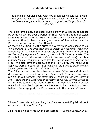The Bible is a popular book, with five billion copies sold worldwide every year, as well as a uniquely precious book. At her coronation the Queen was given a Bible, *'the most precious thing this world affords'*.

The Bible isn't simply one book, but a library of 66 books, composed by some 44 writers over a period of 1500 years in a range of styles including history, poetry, prophecy, letters and apocalyptic (looking at the end times). Despite having a number of different writers, the Bible claims one author – God Himself!

As the Word of God, it is the primary way by which God speaks to us. *'All Scripture is God-breathed and is useful for teaching, rebuking, correcting and training in righteousness, so that the man of God may be thoroughly equipped for every good work'* (2 Timothy 3:16). The Bible is inspired ('*the word of God in the words of men')* and is a *manual for life*, equipping us to live for God in every aspect of our lives. We also have the promise of the Holy Spirit, who helps us to apply its words to our lives: *'But when He, the Spirit of truth, comes, He will guide you into all truth'* John 16:13.

The Bible can also be described as a *love letter* from God, as it deepens our relationship with Him. Jesus said: *'You diligently study the Scriptures because you think that by them you possess eternal life. These are the Scriptures that testify about Me, yet you refuse to come to Me to have life'* (John 5:39,40). Christians follow a person not a book, and the Scriptures are intended to help us to know Jesus better. Like a signpost, the Bible points us to the person of Jesus.

~~~~~~~~~~~~~~~~~~~~~~~~~~~~~~

I haven't been abroad in so long that I almost speak English without an accent. – *Robert Benchley*

I dislike feeling at home when I am abroad. – *George Bernard Shaw*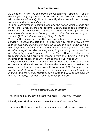As a nation, in April we celebrated the Queen's 96<sup>th</sup> birthday. She is the longest reigning monarch in British history (70 years compared with Victoria's 63 years). Up until recently she attended church every week and did a full week's work!

It is her commitment to serving God and the nation which stands out in her life. Even before she became Queen, she made a promise, which she has kept for over 75 years: *'I declare before you all that my whole life, whether it be long or short, shall be devoted to your service'* (*21st birthday broadcast, 21 April 1947*).

What is the secret of the Queen's consistency of character and service? In 2002 she said this: *'I know just how much I rely on my faith to guide me through the good times and the bad. Each day is a new beginning. I know that the only way to live my life is to try to do what is right, to take the long view, to give of my best in all that the day brings, and to put my trust in God.'* Here are wise words from somebody who draws her strength from the Christian Faith and inspiration for those of us who want to make our lives count!

The Queen has been an example of joyful, wise, and generous service on behalf of others all her life. Six months before her coronation she asked the nation and commonwealth to *'pray that God may give me wisdom and strength to carry out the solemn promises I shall be making, and that I may faithfully serve Him and you, all the days of my life.'* Clearly, God has answered those prayers!!

\*\*\*\*\*\*\*\*\*\*\*\*\*\*\*\*\*\*\*\*\*\*\*\*\*\*\*\*\*\*\*\*\*\*\*\*\*

## *With Father's Day in mind:*

The child had every toy his father wanted. – *Robert C. Whitten*

Directly after God in heaven comes Papa. – *Mozart as a boy*

The family that prays together stays together. *– American proverb*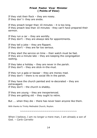## **Priest Pastor Vicar Minister ( Points of View)**

If they visit their flock – they are nosey. If they don' t- they are snobs.

If they preach longer than 10 minutes – it is too long. If they preach less than 10 minutes - they can't have prepared their sermon.

If they run a car – they are worldly. If they don't – they are always late for appointments.

If they tell a joke – they are flippant. If they don't – they are far too serious.

If they start the service on time – their watch must be fast. If they are a minute late – they are keeping the congregation waiting.

If they take a holiday – they are never in the parish. If they don't – they are stick-in-the-mud.

If they run a gala or bazaar – they are money mad. If they don't – there is no social life in the parish.

If they have the church painted and re-decorated – they are extravagant. If they don't  $-$  the church is shabby.

If they are young – they are inexperienced. If they are getting old – they ought to retire.

But …. when they die – there has never been anyone like them.

With thanks to Trinity Methodist Church, Royton.

~~~~~~~~~~~~~~~~~~~~~~~~~~~~~~~~~

When I believe, I am no longer a mere man, I am already a son of God. – *Carlo Carretto*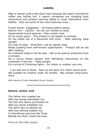# **Liability**

After a woman sued a fast-food chain because she wasn't warned the coffee was boiling hot, it seems companies are changing their instructions and product warning labels to cover themselves from liability. Here are some of the more ludicrous ones –

Frozen dinner: Suggestion – de-freeze before eating.

Electric iron – Caution – do not iron clothes on body.

Supermarket-brand peanuts – May contain nuts.

On an insect spray – This product is not tested on animals.

On the bottle top of a flavoured milk drink – After opening, keep upright.

On a bar of soap – Directions: use as regular soap.

Bread pudding from well-known supermarket – Product will be hot after heating.

On a blanket made in the far east – Not to be used as protection from a tornado.

On a luxury frozen dessert with defrosting instructions on the underside of the box – Keep upright.

On a string of Christmas lights – for indoor or outdoor use only.

 *I can add one to these. Seen on the back of a child's board book – Not suitable for children under 36 months. May contain small parts. Anne*

With thanks to Trinity Methodist Church, Royton.

#### **~~~~~~~~~~~~~~~~~~~~~~**

## **Behold, enfold, hold**

The Father who created me With eye benign beholdeth me; The Son who dearly purchased me With eye divine enfoldeth me; The Spirit who so altered me With eye refining holdeth me; In friendliness and love the Three Behold me when I bend the knee.

*From an old Celtic prayer*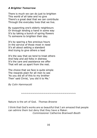## *A Brighter Tomorrow*

There is much we can do just to brighten This world of all take and no give There's a great deal that we can contribute Through the everyday lives that we live.

By supporting one's elderly neighbours Or through lending a hand in some way It's by taking a bunch of spring flowers To someone to brighten their day.

It's by sparing a few precious hours In the service of those most in need It's all about setting a standard And trying to give others a lead

It's the way that we tend to treat others And help and aid folks in distress It's the care and assistance we offer That will set us apart from the rest.

The choice that we face is quite simple The rewards plain for all men to see 'As you did all of this to my brother Then' said Christ, 'you did it to Me.'

*By Colin Hammacott*

~~~~~~~~~~~~~~~~~~~~~~~~~~~~~~~

Nature is the art of God. *Thomas Browne*

I think that God's works are so beautiful that I am amazed that people can admire them but deny that they have a Maker. *Commissioner Catherine Bramwell-Booth*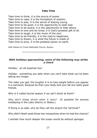# **Take Time**

Take time to think, it is the source of power. Take time to read, it is the foundation of wisdom. Take time to play, it is the secret of staying young. Take time to be quiet, it is the opportunity to seek God. Take time to be aware, it is the opportunity to help others. Take time to love and be loved, it is God's greatest gift of all. Take time to laugh, it is the music of the soul. Take time to be friendly, it is the road to happiness. Take time to dream, it is what the future is made of. Take time to pray, it is the greatest power on earth.

With thanks to Trinity Methodist Church, Royton.

~~~~~~~~~~~~~~~~~~~~~~~~~~~~

## *With holidays approaching, some of the following may strike a chord*

Holiday: an all-expense tour

Holiday: something you take when you can't take what you've been taking any longer.

The older you get, the tougher it is to lose weight before you appear in a swimsuit, because by then your body and your fat are really good friends.

Why is it called tourist season if we can't shoot at them?

*Why don't sheep shrink when it rains?* (A question for anyone holidaying in the Lake District or Wales.)

If flying is so safe, why do they call the airport the 'terminal'?

Why didn't Noah swat those two mosquitoes when he had the chance?

I wonder how much deeper the ocean would be without sponges.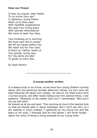## **Hear our Prayer**

O hear our prayer, dear Father To us incline Your ear! O righteous, loving Father Allow us to draw near; With heartfelt supplications We seek Your loving grace With earnest intercessions We come to seek Your face.

Your kindness ev'ry morning We trust we'll find in prayer We lift our hands before You We reach out for Your care; O teach us, Father, teach us Your gentle, loving way, For You alone are able To guide us every day.

*By Nigel Beeton*

*~~~~~~~~~~~~~~~~~~~~~~~~*

## *A young mother writes:*

It is always busy in our home, as we have four young children running about. But one particular Sunday afternoon James, my four-year-old kept following me about very closely. He was on my heels every time I turned around, and after nearly falling over him several times, I lost patience. 'Whatever is the matter with you?' I demanded. 'Why don't you go and play?'

He looked up at me and said: 'This morning at church the teacher told us that we should walk in Jesus' footsteps. But I can't see Him, so I am walking in yours instead.' I gathered up my young son and felt tears in my eyes. I thanked God for this lesson I will never forget – about the value of being a living example to our young ones.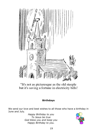

"It's not as picturesque as the old steeple but it's saving a fortune in electricity bills!

# **Birthdays**

We send our love and best wishes to all those who have a birthday in June and July.

*Happy Birthday to you To Jesus be true God bless you and keep you Happy Birthday to you.*

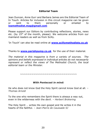## **Editorial Team**

Jean Duncan, Anne Gurr and Barbara James are the Editorial Team of In Touch. Articles for inclusion in this circuit magazine can be given or sent to them personally or emailed to **[iosmethodist.mag@gmail.com](mailto:iosmethodist.mag@gmail.come)**

Please support our Editors by contributing reflections, stories, news etc. (by 15<sup>th</sup> of the month, please). We welcome articles from our mainland readers as well as from Scilly.

'In Touch' can also be read online at **[www.scillymethodists.co.uk](http://www.scillymethodists.co.uk/)**

Thanks to **[www.parishpump.co.uk](http://www.parishpump.co.uk/)** for the use of their material.

*The material in this magazine is from a variety of sources. The opinions and beliefs expressed in individual articles do not necessarily represent or reflect the views of The Methodist Church, the local editorial team or the Minister.*

*~~~~~~~~~~~~~~~~~~~~~~~~~~~~~~*

## *With Pentecost in mind:*

He who does not know God the Holy Spirit cannot know God at all*. – Thomas Arnold*

To the one who remembers the Spirit there is always a way out, even in the wilderness with the devil*. – Herbert Brokering*

The Holy Spirit … writes His own gospel and He writes it in the hearts of the faithful. – *Jean-Pierre de Caussade SJ*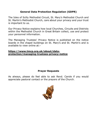# **General Data Protection Regulation (GDPR)**

The Isles of Scilly Methodist Circuit, St. Mary's Methodist Church and St. Martin's Methodist Church, care about your privacy and your trust is important to us.

Our Privacy Notice explains how local Churches, Circuits and Districts within the Methodist Church in Great Britain collect, use and protect your personnel information.

The Managing Trustees' Privacy Notice is published on the notice boards in the chapel buildings on St. Mary's and St. Martin's and is available to view online at:-

## **[https://www.tmcp.org.uk/about/data](https://www.tmcp.org.uk/about/data-protection/managing-trustees-privacy-notice)[protection/managing-trustees-privacy-notice](https://www.tmcp.org.uk/about/data-protection/managing-trustees-privacy-notice)**

# **Prayer Requests**

As always, please do feel able to ask Revd. Carole if you would appreciate pastoral contact or the prayers of the Church.